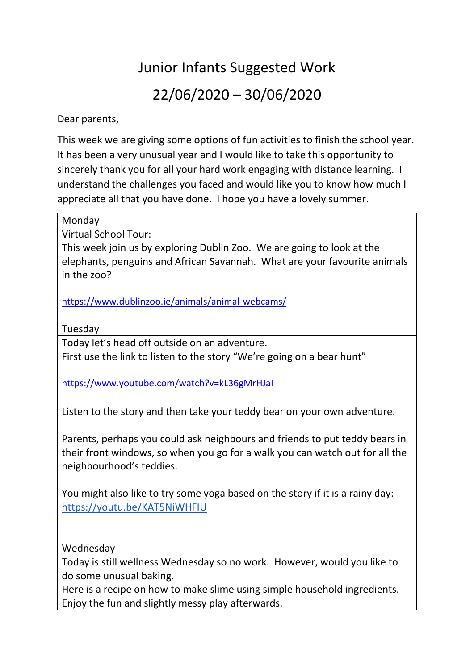## Junior Infants Suggested Work 22/06/2020 – 30/06/2020

Dear parents,

This week we are giving some options of fun activities to finish the school year. It has been a very unusual year and I would like to take this opportunity to sincerely thank you for all your hard work engaging with distance learning. I understand the challenges you faced and would like you to know how much I appreciate all that you have done. I hope you have a lovely summer.

Monday

Virtual School Tour:

This week join us by exploring Dublin Zoo. We are going to look at the elephants, penguins and African Savannah. What are your favourite animals in the zoo?

<https://www.dublinzoo.ie/animals/animal-webcams/>

Tuesday

Today let's head off outside on an adventure.

First use the link to listen to the story "We're going on a bear hunt"

<https://www.youtube.com/watch?v=kL36gMrHJaI>

Listen to the story and then take your teddy bear on your own adventure.

Parents, perhaps you could ask neighbours and friends to put teddy bears in their front windows, so when you go for a walk you can watch out for all the neighbourhood's teddies.

You might also like to try some yoga based on the story if it is a rainy day: <https://youtu.be/KAT5NiWHFIU>

Wednesday

Today is still wellness Wednesday so no work. However, would you like to do some unusual baking.

Here is a recipe on how to make slime using simple household ingredients. Enjoy the fun and slightly messy play afterwards.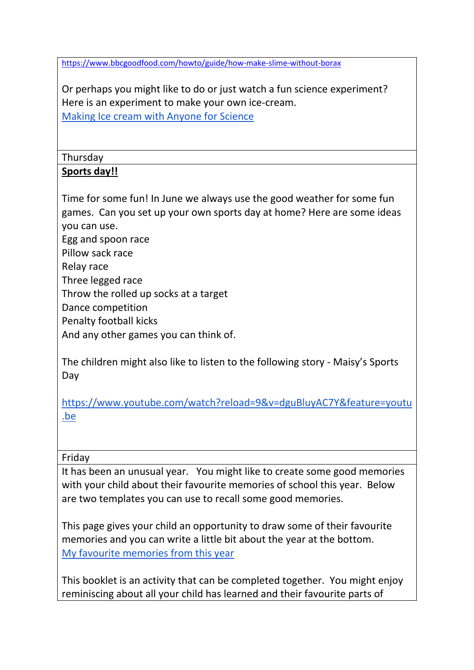<https://www.bbcgoodfood.com/howto/guide/how-make-slime-without-borax>

Or perhaps you might like to do or just watch a fun science experiment? Here is an experiment to make your own ice-cream. [Making Ice cream with Anyone for Science](https://www.youtube.com/watch?v=KRs0VOcwlRE&feature=youtu.be)

Thursday

## **Sports day!!**

Time for some fun! In June we always use the good weather for some fun games. Can you set up your own sports day at home? Here are some ideas you can use.

Egg and spoon race

Pillow sack race

Relay race

Three legged race

Throw the rolled up socks at a target

Dance competition

Penalty football kicks

And any other games you can think of.

The children might also like to listen to the following story - Maisy's Sports Day

[https://www.youtube.com/watch?reload=9&v=dguBluyAC7Y&feature=youtu](https://www.youtube.com/watch?reload=9&v=dguBluyAC7Y&feature=youtu.be) [.be](https://www.youtube.com/watch?reload=9&v=dguBluyAC7Y&feature=youtu.be)

Friday

It has been an unusual year. You might like to create some good memories with your child about their favourite memories of school this year. Below are two templates you can use to recall some good memories.

This page gives your child an opportunity to draw some of their favourite memories and you can write a little bit about the year at the bottom. [My favourite memories from this year](https://drive.google.com/file/d/1UPol8yD0n-II7cOTffGKp7u00WlR-vyy/view?usp=sharing)

This booklet is an activity that can be completed together. You might enjoy reminiscing about all your child has learned and their favourite parts of